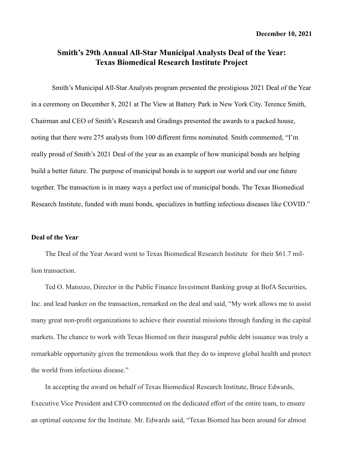## **Smith's 29th Annual All-Star Municipal Analysts Deal of the Year: Texas Biomedical Research Institute Project**

Smith's Municipal All-Star Analysts program presented the prestigious 2021 Deal of the Year in a ceremony on December 8, 2021 at The View at Battery Park in New York City. Terence Smith, Chairman and CEO of Smith's Research and Gradings presented the awards to a packed house, noting that there were 275 analysts from 100 different firms nominated. Smith commented, "I'm really proud of Smith's 2021 Deal of the year as an example of how municipal bonds are helping build a better future. The purpose of municipal bonds is to support our world and our one future together. The transaction is in many ways a perfect use of municipal bonds. The Texas Biomedical Research Institute, funded with muni bonds, specializes in battling infectious diseases like COVID."

## **Deal of the Year**

The Deal of the Year Award went to Texas Biomedical Research Institute for their \$61.7 million transaction.

Ted O. Matozzo, Director in the Public Finance Investment Banking group at BofA Securities, Inc. and lead banker on the transaction, remarked on the deal and said, "My work allows me to assist many great non-profit organizations to achieve their essential missions through funding in the capital markets. The chance to work with Texas Biomed on their inaugural public debt issuance was truly a remarkable opportunity given the tremendous work that they do to improve global health and protect the world from infectious disease."

In accepting the award on behalf of Texas Biomedical Research Institute, Bruce Edwards, Executive Vice President and CFO commented on the dedicated effort of the entire team, to ensure an optimal outcome for the Institute. Mr. Edwards said, "Texas Biomed has been around for almost